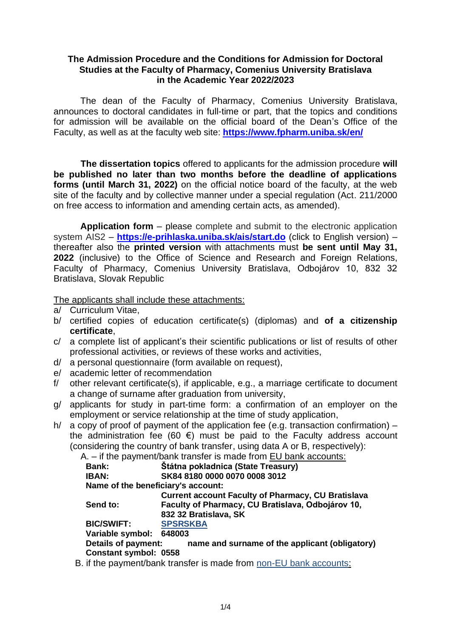# **The Admission Procedure and the Conditions for Admission for Doctoral Studies at the Faculty of Pharmacy, Comenius University Bratislava in the Academic Year 2022/2023**

The dean of the Faculty of Pharmacy, Comenius University Bratislava, announces to doctoral candidates in full-time or part, that the topics and conditions for admission will be available on the official board of the Dean's Office of the Faculty, as well as at the faculty web site: **[https://www.fpharm.uniba.sk/e](https://www.fpharm.uniba.sk/)n/**

**The dissertation topics** offered to applicants for the admission procedure **will be published no later than two months before the deadline of applications forms (until March 31, 2022)** on the official notice board of the faculty, at the web site of the faculty and by collective manner under a special regulation (Act. 211/2000 on free access to information and amending certain acts, as amended).

**Application form** – please complete and submit to the electronic application system AIS2 – **<https://e-prihlaska.uniba.sk/ais/start.do>** (click to English version) – thereafter also the **printed version** with attachments must **be sent until May 31, 2022** (inclusive) to the Office of Science and Research and Foreign Relations, Faculty of Pharmacy, Comenius University Bratislava, Odbojárov 10, 832 32 Bratislava, Slovak Republic

The applicants shall include these attachments:

- a/ Curriculum Vitae,
- b/ certified copies of education certificate(s) (diplomas) and **of a citizenship certificate**,
- c/ a complete list of applicant's their scientific publications or list of results of other professional activities, or reviews of these works and activities,
- d/ a personal questionnaire (form available on request),
- e/ academic letter of recommendation
- f/ other relevant certificate(s), if applicable, e.g., a marriage certificate to document a change of surname after graduation from university,
- g/ applicants for study in part-time form: a confirmation of an employer on the employment or service relationship at the time of study application,
- h/ a copy of proof of payment of the application fee (e.g. transaction confirmation)  $$ the administration fee (60  $\epsilon$ ) must be paid to the Faculty address account (considering the country of bank transfer, using data A or B, respectively):

A. – if the payment/bank transfer is made from EU bank accounts:

|                                    | $\mathbf{u}$ and paymont bank transfer to made none Lo bank accounts. |
|------------------------------------|-----------------------------------------------------------------------|
| <b>Bank:</b>                       | <b>Štátna pokladnica (State Treasury)</b>                             |
| <b>IBAN:</b>                       | SK84 8180 0000 0070 0008 3012                                         |
| Name of the beneficiary's account: |                                                                       |
|                                    | <b>Current account Faculty of Pharmacy, CU Bratislava</b>             |
| Send to:                           | Faculty of Pharmacy, CU Bratislava, Odbojárov 10,                     |
|                                    | 832 32 Bratislava, SK                                                 |
| <b>BIC/SWIFT:</b>                  | <b>SPSRSKBA</b>                                                       |
| Variable symbol: 648003            |                                                                       |
| Details of payment:                | name and surname of the applicant (obligatory)                        |
| <b>Constant symbol: 0558</b>       |                                                                       |
|                                    |                                                                       |

B. if the payment/bank transfer is made from non-EU bank accounts: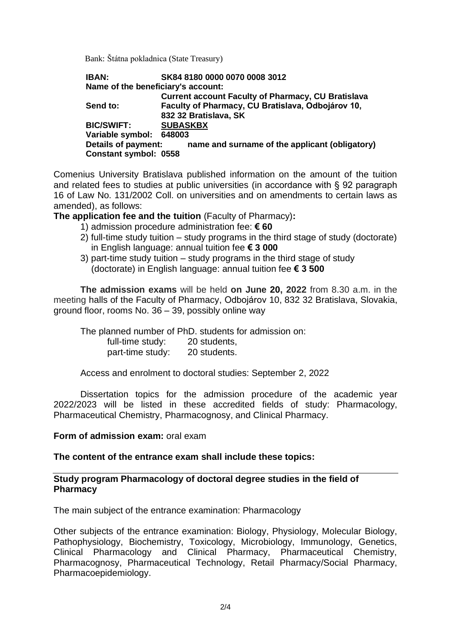Bank: Štátna pokladnica (State Treasury)

**IBAN: SK84 8180 0000 0070 0008 3012 Name of the beneficiary's account: Current account Faculty of Pharmacy, CU Bratislava Send to: Faculty of Pharmacy, CU Bratislava, Odbojárov 10, 832 32 Bratislava, SK BIC/SWIFT: SUBASKBX Variable symbol: 648003 Details of payment: name and surname of the applicant (obligatory) Constant symbol: 0558**

Comenius University Bratislava published information on the amount of the tuition and related fees to studies at public universities (in accordance with § 92 paragraph 16 of Law No. 131/2002 Coll. on universities and on amendments to certain laws as amended), as follows:

**The application fee and the tuition** (Faculty of Pharmacy)**:**

- 1) admission procedure administration fee: **€ 60**
- 2) full-time study tuition study programs in the third stage of study (doctorate) in English language: annual tuition fee **€ 3 000**
- 3) part-time study tuition study programs in the third stage of study (doctorate) in English language: annual tuition fee **€ 3 500**

**The admission exams** will be held **on June 20, 2022** from 8.30 a.m. in the meeting halls of the Faculty of Pharmacy, Odbojárov 10, 832 32 Bratislava, Slovakia, ground floor, rooms No. 36 – 39, possibly online way

The planned number of PhD. students for admission on:

full-time study: 20 students,

part-time study: 20 students.

Access and enrolment to doctoral studies: September 2, 2022

Dissertation topics for the admission procedure of the academic year 2022/2023 will be listed in these accredited fields of study: Pharmacology, Pharmaceutical Chemistry, Pharmacognosy, and Clinical Pharmacy.

#### **Form of admission exam:** oral exam

# **The content of the entrance exam shall include these topics:**

### **Study program Pharmacology of doctoral degree studies in the field of Pharmacy**

The main subject of the entrance examination: Pharmacology

Other subjects of the entrance examination: Biology, Physiology, Molecular Biology, Pathophysiology, Biochemistry, Toxicology, Microbiology, Immunology, Genetics, Clinical Pharmacology and Clinical Pharmacy, Pharmaceutical Chemistry, Pharmacognosy, Pharmaceutical Technology, Retail Pharmacy/Social Pharmacy, Pharmacoepidemiology.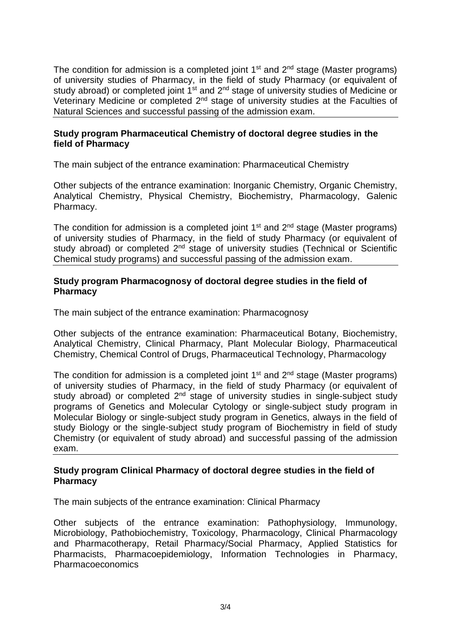The condition for admission is a completed joint  $1<sup>st</sup>$  and  $2<sup>nd</sup>$  stage (Master programs) of university studies of Pharmacy, in the field of study Pharmacy (or equivalent of study abroad) or completed joint  $1<sup>st</sup>$  and  $2<sup>nd</sup>$  stage of university studies of Medicine or Veterinary Medicine or completed 2<sup>nd</sup> stage of university studies at the Faculties of Natural Sciences and successful passing of the admission exam.

# **Study program Pharmaceutical Chemistry of doctoral degree studies in the field of Pharmacy**

The main subject of the entrance examination: Pharmaceutical Chemistry

Other subjects of the entrance examination: Inorganic Chemistry, Organic Chemistry, Analytical Chemistry, Physical Chemistry, Biochemistry, Pharmacology, Galenic Pharmacy.

The condition for admission is a completed joint  $1<sup>st</sup>$  and  $2<sup>nd</sup>$  stage (Master programs) of university studies of Pharmacy, in the field of study Pharmacy (or equivalent of study abroad) or completed 2<sup>nd</sup> stage of university studies (Technical or Scientific Chemical study programs) and successful passing of the admission exam.

# **Study program Pharmacognosy of doctoral degree studies in the field of Pharmacy**

The main subject of the entrance examination: Pharmacognosy

Other subjects of the entrance examination: Pharmaceutical Botany, Biochemistry, Analytical Chemistry, Clinical Pharmacy, Plant Molecular Biology, Pharmaceutical Chemistry, Chemical Control of Drugs, Pharmaceutical Technology, Pharmacology

The condition for admission is a completed joint  $1<sup>st</sup>$  and  $2<sup>nd</sup>$  stage (Master programs) of university studies of Pharmacy, in the field of study Pharmacy (or equivalent of study abroad) or completed 2<sup>nd</sup> stage of university studies in single-subject study programs of Genetics and Molecular Cytology or single-subject study program in Molecular Biology or single-subject study program in Genetics, always in the field of study Biology or the single-subject study program of Biochemistry in field of study Chemistry (or equivalent of study abroad) and successful passing of the admission exam.

# **Study program Clinical Pharmacy of doctoral degree studies in the field of Pharmacy**

The main subjects of the entrance examination: Clinical Pharmacy

Other subjects of the entrance examination: Pathophysiology, Immunology, Microbiology, Pathobiochemistry, Toxicology, Pharmacology, Clinical Pharmacology and Pharmacotherapy, Retail Pharmacy/Social Pharmacy, Applied Statistics for Pharmacists, Pharmacoepidemiology, Information Technologies in Pharmacy, Pharmacoeconomics